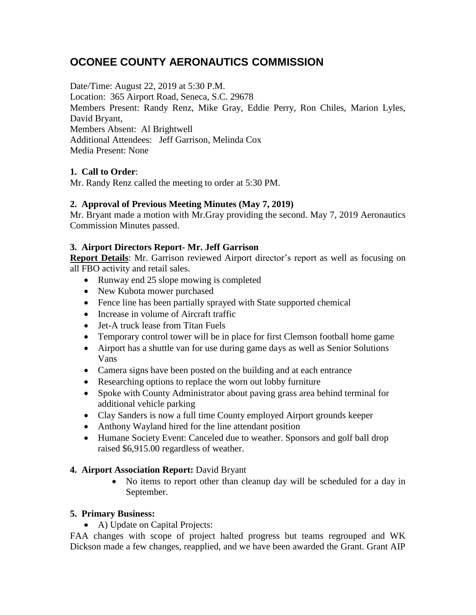# **OCONEE COUNTY AERONAUTICS COMMISSION**

Date/Time: August 22, 2019 at 5:30 P.M. Location: 365 Airport Road, Seneca, S.C. 29678 Members Present: Randy Renz, Mike Gray, Eddie Perry, Ron Chiles, Marion Lyles, David Bryant, Members Absent: Al Brightwell Additional Attendees: Jeff Garrison, Melinda Cox Media Present: None

## **1. Call to Order**:

Mr. Randy Renz called the meeting to order at 5:30 PM.

## **2. Approval of Previous Meeting Minutes (May 7, 2019)**

Mr. Bryant made a motion with Mr.Gray providing the second. May 7, 2019 Aeronautics Commission Minutes passed.

## **3. Airport Directors Report- Mr. Jeff Garrison**

**Report Details**: Mr. Garrison reviewed Airport director's report as well as focusing on all FBO activity and retail sales.

- Runway end 25 slope mowing is completed
- New Kubota mower purchased
- Fence line has been partially sprayed with State supported chemical
- Increase in volume of Aircraft traffic
- Jet-A truck lease from Titan Fuels
- Temporary control tower will be in place for first Clemson football home game
- Airport has a shuttle van for use during game days as well as Senior Solutions Vans
- Camera signs have been posted on the building and at each entrance
- Researching options to replace the worn out lobby furniture
- Spoke with County Administrator about paving grass area behind terminal for additional vehicle parking
- Clay Sanders is now a full time County employed Airport grounds keeper
- Anthony Wayland hired for the line attendant position
- Humane Society Event: Canceled due to weather. Sponsors and golf ball drop raised \$6,915.00 regardless of weather.

## **4. Airport Association Report:** David Bryant

• No items to report other than cleanup day will be scheduled for a day in September.

## **5. Primary Business:**

• A) Update on Capital Projects:

FAA changes with scope of project halted progress but teams regrouped and WK Dickson made a few changes, reapplied, and we have been awarded the Grant. Grant AIP